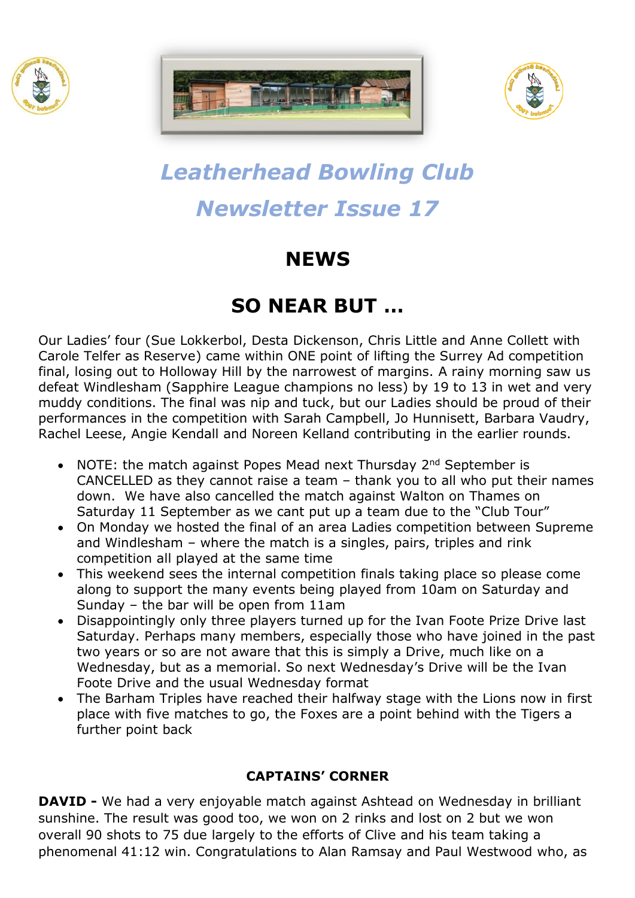





# *Leatherhead Bowling Club Newsletter Issue 17*

## **NEWS**

### **SO NEAR BUT …**

Our Ladies' four (Sue Lokkerbol, Desta Dickenson, Chris Little and Anne Collett with Carole Telfer as Reserve) came within ONE point of lifting the Surrey Ad competition final, losing out to Holloway Hill by the narrowest of margins. A rainy morning saw us defeat Windlesham (Sapphire League champions no less) by 19 to 13 in wet and very muddy conditions. The final was nip and tuck, but our Ladies should be proud of their performances in the competition with Sarah Campbell, Jo Hunnisett, Barbara Vaudry, Rachel Leese, Angie Kendall and Noreen Kelland contributing in the earlier rounds.

- NOTE: the match against Popes Mead next Thursday  $2^{nd}$  September is CANCELLED as they cannot raise a team – thank you to all who put their names down. We have also cancelled the match against Walton on Thames on Saturday 11 September as we cant put up a team due to the "Club Tour"
- On Monday we hosted the final of an area Ladies competition between Supreme and Windlesham – where the match is a singles, pairs, triples and rink competition all played at the same time
- This weekend sees the internal competition finals taking place so please come along to support the many events being played from 10am on Saturday and Sunday – the bar will be open from 11am
- Disappointingly only three players turned up for the Ivan Foote Prize Drive last Saturday. Perhaps many members, especially those who have joined in the past two years or so are not aware that this is simply a Drive, much like on a Wednesday, but as a memorial. So next Wednesday's Drive will be the Ivan Foote Drive and the usual Wednesday format
- The Barham Triples have reached their halfway stage with the Lions now in first place with five matches to go, the Foxes are a point behind with the Tigers a further point back

#### **CAPTAINS' CORNER**

**DAVID -** We had a very enjoyable match against Ashtead on Wednesday in brilliant sunshine. The result was good too, we won on 2 rinks and lost on 2 but we won overall 90 shots to 75 due largely to the efforts of Clive and his team taking a phenomenal 41:12 win. Congratulations to Alan Ramsay and Paul Westwood who, as